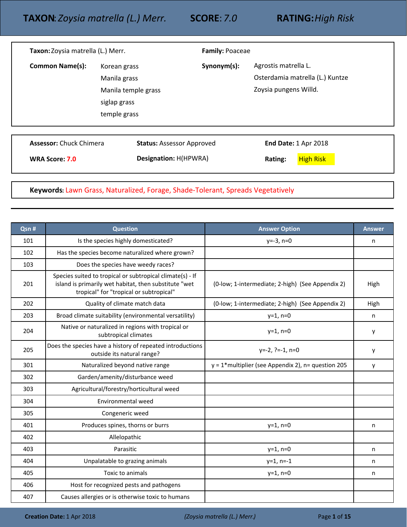| Taxon: Zoysia matrella (L.) Merr.                |                                                                                     | <b>Family: Poaceae</b> |                                                                                  |
|--------------------------------------------------|-------------------------------------------------------------------------------------|------------------------|----------------------------------------------------------------------------------|
| <b>Common Name(s):</b>                           | Korean grass<br>Manila grass<br>Manila temple grass<br>siglap grass<br>temple grass | Synonym(s):            | Agrostis matrella L.<br>Osterdamia matrella (L.) Kuntze<br>Zoysia pungens Willd. |
| <b>Assessor: Chuck Chimera</b><br>WRA Score: 7.0 | <b>Status: Assessor Approved</b><br><b>Designation: H(HPWRA)</b>                    |                        | <b>End Date: 1 Apr 2018</b><br><b>High Risk</b><br>Rating:                       |

**Keywords:** Lawn Grass, Naturalized, Forage, Shade-Tolerant, Spreads Vegetatively

| Qsn # | <b>Question</b>                                                                                                                                               | <b>Answer Option</b>                                  | <b>Answer</b> |
|-------|---------------------------------------------------------------------------------------------------------------------------------------------------------------|-------------------------------------------------------|---------------|
| 101   | Is the species highly domesticated?                                                                                                                           | $y=-3, n=0$                                           | n             |
| 102   | Has the species become naturalized where grown?                                                                                                               |                                                       |               |
| 103   | Does the species have weedy races?                                                                                                                            |                                                       |               |
| 201   | Species suited to tropical or subtropical climate(s) - If<br>island is primarily wet habitat, then substitute "wet<br>tropical" for "tropical or subtropical" | (0-low; 1-intermediate; 2-high) (See Appendix 2)      | High          |
| 202   | Quality of climate match data                                                                                                                                 | (0-low; 1-intermediate; 2-high) (See Appendix 2)      | High          |
| 203   | Broad climate suitability (environmental versatility)                                                                                                         | $y=1, n=0$                                            | n             |
| 204   | Native or naturalized in regions with tropical or<br>subtropical climates                                                                                     | $y=1, n=0$                                            | y             |
| 205   | Does the species have a history of repeated introductions<br>outside its natural range?                                                                       | $y=-2, ?=-1, n=0$                                     | y             |
| 301   | Naturalized beyond native range                                                                                                                               | $y = 1$ *multiplier (see Appendix 2), n= question 205 | y             |
| 302   | Garden/amenity/disturbance weed                                                                                                                               |                                                       |               |
| 303   | Agricultural/forestry/horticultural weed                                                                                                                      |                                                       |               |
| 304   | Environmental weed                                                                                                                                            |                                                       |               |
| 305   | Congeneric weed                                                                                                                                               |                                                       |               |
| 401   | Produces spines, thorns or burrs                                                                                                                              | $y=1, n=0$                                            | n             |
| 402   | Allelopathic                                                                                                                                                  |                                                       |               |
| 403   | Parasitic                                                                                                                                                     | $y=1, n=0$                                            | n             |
| 404   | Unpalatable to grazing animals                                                                                                                                | $y=1, n=-1$                                           | n             |
| 405   | Toxic to animals                                                                                                                                              | $y=1, n=0$                                            | n             |
| 406   | Host for recognized pests and pathogens                                                                                                                       |                                                       |               |
| 407   | Causes allergies or is otherwise toxic to humans                                                                                                              |                                                       |               |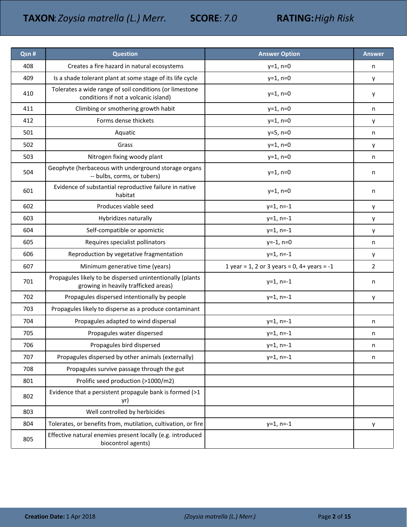| Qsn # | <b>Question</b>                                                                                   | <b>Answer Option</b>                        | <b>Answer</b> |
|-------|---------------------------------------------------------------------------------------------------|---------------------------------------------|---------------|
| 408   | Creates a fire hazard in natural ecosystems                                                       | $y=1, n=0$                                  | n             |
| 409   | Is a shade tolerant plant at some stage of its life cycle                                         | $y=1, n=0$                                  | у             |
| 410   | Tolerates a wide range of soil conditions (or limestone<br>conditions if not a volcanic island)   | $y=1, n=0$                                  | у             |
| 411   | Climbing or smothering growth habit                                                               | $y=1, n=0$                                  | n             |
| 412   | Forms dense thickets                                                                              | $y=1, n=0$                                  | y             |
| 501   | Aquatic                                                                                           | $y=5, n=0$                                  | n             |
| 502   | Grass                                                                                             | $y=1, n=0$                                  | у             |
| 503   | Nitrogen fixing woody plant                                                                       | $y=1, n=0$                                  | n             |
| 504   | Geophyte (herbaceous with underground storage organs<br>-- bulbs, corms, or tubers)               | $y=1, n=0$                                  | n             |
| 601   | Evidence of substantial reproductive failure in native<br>habitat                                 | $y=1, n=0$                                  | n             |
| 602   | Produces viable seed                                                                              | $y=1$ , n=-1                                | y             |
| 603   | Hybridizes naturally                                                                              | $y=1$ , n=-1                                | у             |
| 604   | Self-compatible or apomictic                                                                      | $y=1$ , n=-1                                | y             |
| 605   | Requires specialist pollinators                                                                   | $y=-1, n=0$                                 | n             |
| 606   | Reproduction by vegetative fragmentation                                                          | $y=1$ , n=-1                                | у             |
| 607   | Minimum generative time (years)                                                                   | 1 year = 1, 2 or 3 years = 0, 4+ years = -1 | 2             |
| 701   | Propagules likely to be dispersed unintentionally (plants<br>growing in heavily trafficked areas) | $y=1$ , n=-1                                | n             |
| 702   | Propagules dispersed intentionally by people                                                      | $y=1$ , n=-1                                | у             |
| 703   | Propagules likely to disperse as a produce contaminant                                            |                                             |               |
| 704   | Propagules adapted to wind dispersal                                                              | $y=1$ , n=-1                                | n             |
| 705   | Propagules water dispersed                                                                        | $y=1$ , n=-1                                | n             |
| 706   | Propagules bird dispersed                                                                         | $y=1$ , n=-1                                | n             |
| 707   | Propagules dispersed by other animals (externally)                                                | $y=1$ , n=-1                                | n             |
| 708   | Propagules survive passage through the gut                                                        |                                             |               |
| 801   | Prolific seed production (>1000/m2)                                                               |                                             |               |
| 802   | Evidence that a persistent propagule bank is formed (>1<br>yr)                                    |                                             |               |
| 803   | Well controlled by herbicides                                                                     |                                             |               |
| 804   | Tolerates, or benefits from, mutilation, cultivation, or fire                                     | $y=1$ , n=-1                                | у             |
| 805   | Effective natural enemies present locally (e.g. introduced<br>biocontrol agents)                  |                                             |               |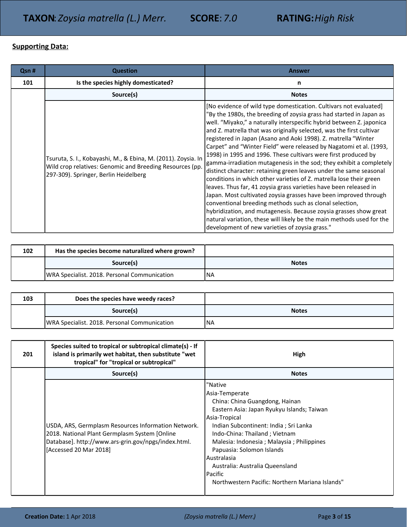## **Supporting Data:**

| Qsn # | <b>Question</b>                                                                                                                                                    | <b>Answer</b>                                                                                                                                                                                                                                                                                                                                                                                                                                                                                                                                                                                                                                                                                                                                                                                                                                                                                                                                                                                                                                                                                                              |
|-------|--------------------------------------------------------------------------------------------------------------------------------------------------------------------|----------------------------------------------------------------------------------------------------------------------------------------------------------------------------------------------------------------------------------------------------------------------------------------------------------------------------------------------------------------------------------------------------------------------------------------------------------------------------------------------------------------------------------------------------------------------------------------------------------------------------------------------------------------------------------------------------------------------------------------------------------------------------------------------------------------------------------------------------------------------------------------------------------------------------------------------------------------------------------------------------------------------------------------------------------------------------------------------------------------------------|
| 101   | Is the species highly domesticated?                                                                                                                                | n                                                                                                                                                                                                                                                                                                                                                                                                                                                                                                                                                                                                                                                                                                                                                                                                                                                                                                                                                                                                                                                                                                                          |
|       | Source(s)                                                                                                                                                          | <b>Notes</b>                                                                                                                                                                                                                                                                                                                                                                                                                                                                                                                                                                                                                                                                                                                                                                                                                                                                                                                                                                                                                                                                                                               |
|       | Tsuruta, S. I., Kobayashi, M., & Ebina, M. (2011). Zoysia. In<br>Wild crop relatives: Genomic and Breeding Resources (pp.<br>297-309). Springer, Berlin Heidelberg | [No evidence of wild type domestication. Cultivars not evaluated]<br>"By the 1980s, the breeding of zoysia grass had started in Japan as<br>well. "Miyako," a naturally interspecific hybrid between Z. japonica<br>and Z. matrella that was originally selected, was the first cultivar<br>registered in Japan (Asano and Aoki 1998). Z. matrella "Winter<br>Carpet" and "Winter Field" were released by Nagatomi et al. (1993,<br>1998) in 1995 and 1996. These cultivars were first produced by<br>gamma-irradiation mutagenesis in the sod; they exhibit a completely<br>distinct character: retaining green leaves under the same seasonal<br>conditions in which other varieties of Z. matrella lose their green<br>leaves. Thus far, 41 zoysia grass varieties have been released in<br>Japan. Most cultivated zoysia grasses have been improved through<br>conventional breeding methods such as clonal selection,<br>hybridization, and mutagenesis. Because zoysia grasses show great<br>natural variation, these will likely be the main methods used for the<br>development of new varieties of zoysia grass." |

| 102 | Has the species become naturalized where grown? |              |
|-----|-------------------------------------------------|--------------|
|     | Source(s)                                       | <b>Notes</b> |
|     | WRA Specialist. 2018. Personal Communication    | <b>INA</b>   |

| 103 | Does the species have weedy races?           |              |
|-----|----------------------------------------------|--------------|
|     | Source(s)                                    | <b>Notes</b> |
|     | WRA Specialist. 2018. Personal Communication | INA          |

| 201 | Species suited to tropical or subtropical climate(s) - If<br>island is primarily wet habitat, then substitute "wet<br>tropical" for "tropical or subtropical"                         | High                                                                                                                                                                                                                                                                                                                                                                                            |
|-----|---------------------------------------------------------------------------------------------------------------------------------------------------------------------------------------|-------------------------------------------------------------------------------------------------------------------------------------------------------------------------------------------------------------------------------------------------------------------------------------------------------------------------------------------------------------------------------------------------|
|     | Source(s)                                                                                                                                                                             | <b>Notes</b>                                                                                                                                                                                                                                                                                                                                                                                    |
|     | USDA, ARS, Germplasm Resources Information Network.<br>2018. National Plant Germplasm System [Online<br>Database]. http://www.ars-grin.gov/npgs/index.html.<br>[Accessed 20 Mar 2018] | "Native<br>Asia-Temperate<br>China: China Guangdong, Hainan<br>Eastern Asia: Japan Ryukyu Islands; Taiwan<br>Asia-Tropical<br>Indian Subcontinent: India ; Sri Lanka<br>Indo-China: Thailand; Vietnam<br>Malesia: Indonesia; Malaysia; Philippines<br>Papuasia: Solomon Islands<br>Australasia<br>Australia: Australia Queensland<br>Pacific<br>Northwestern Pacific: Northern Mariana Islands" |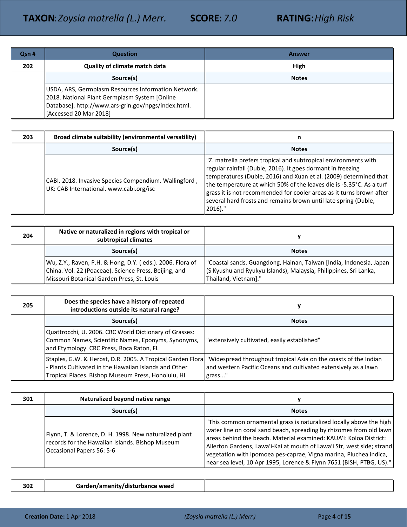| Qsn # | <b>Question</b>                                                                                                                                                                       | <b>Answer</b> |
|-------|---------------------------------------------------------------------------------------------------------------------------------------------------------------------------------------|---------------|
| 202   | <b>Quality of climate match data</b>                                                                                                                                                  | High          |
|       | Source(s)                                                                                                                                                                             | <b>Notes</b>  |
|       | USDA, ARS, Germplasm Resources Information Network.<br>2018. National Plant Germplasm System [Online<br>Database]. http://www.ars-grin.gov/npgs/index.html.<br>[Accessed 20 Mar 2018] |               |

| 203 | Broad climate suitability (environmental versatility)                                            | n                                                                                                                                                                                                                                                                                                                                                                                                                                    |
|-----|--------------------------------------------------------------------------------------------------|--------------------------------------------------------------------------------------------------------------------------------------------------------------------------------------------------------------------------------------------------------------------------------------------------------------------------------------------------------------------------------------------------------------------------------------|
|     | Source(s)                                                                                        | <b>Notes</b>                                                                                                                                                                                                                                                                                                                                                                                                                         |
|     | CABI. 2018. Invasive Species Compendium. Wallingford,<br>UK: CAB International. www.cabi.org/isc | "Z. matrella prefers tropical and subtropical environments with<br>regular rainfall (Duble, 2016). It goes dormant in freezing<br>temperatures (Duble, 2016) and Xuan et al. (2009) determined that<br>the temperature at which 50% of the leaves die is -5.35°C. As a turf<br>grass it is not recommended for cooler areas as it turns brown after<br>several hard frosts and remains brown until late spring (Duble,<br>$2016$ )." |

| 204 | Native or naturalized in regions with tropical or<br>subtropical climates                                                                                        |                                                                                                                                                                |
|-----|------------------------------------------------------------------------------------------------------------------------------------------------------------------|----------------------------------------------------------------------------------------------------------------------------------------------------------------|
|     | Source(s)                                                                                                                                                        | <b>Notes</b>                                                                                                                                                   |
|     | Wu, Z.Y., Raven, P.H. & Hong, D.Y. (eds.). 2006. Flora of<br>China. Vol. 22 (Poaceae). Science Press, Beijing, and<br>Missouri Botanical Garden Press, St. Louis | "Coastal sands. Guangdong, Hainan, Taiwan [India, Indonesia, Japan<br>(S Kyushu and Ryukyu Islands), Malaysia, Philippines, Sri Lanka,<br>Thailand, Vietnam]." |

| 205 | Does the species have a history of repeated<br>introductions outside its natural range?                                                                  |                                                                                                                                                                                                            |
|-----|----------------------------------------------------------------------------------------------------------------------------------------------------------|------------------------------------------------------------------------------------------------------------------------------------------------------------------------------------------------------------|
|     | Source(s)                                                                                                                                                | <b>Notes</b>                                                                                                                                                                                               |
|     | Quattrocchi, U. 2006. CRC World Dictionary of Grasses:<br>Common Names, Scientific Names, Eponyms, Synonyms,<br>and Etymology. CRC Press, Boca Raton, FL | "extensively cultivated, easily established"                                                                                                                                                               |
|     | - Plants Cultivated in the Hawaiian Islands and Other<br>Tropical Places. Bishop Museum Press, Honolulu, HI                                              | Staples, G.W. & Herbst, D.R. 2005. A Tropical Garden Flora   "Widespread throughout tropical Asia on the coasts of the Indian<br>and western Pacific Oceans and cultivated extensively as a lawn<br>grass" |

| 301 | Naturalized beyond native range                                                                                                        |                                                                                                                                                                                                                                                                                                                                                                                                                                        |
|-----|----------------------------------------------------------------------------------------------------------------------------------------|----------------------------------------------------------------------------------------------------------------------------------------------------------------------------------------------------------------------------------------------------------------------------------------------------------------------------------------------------------------------------------------------------------------------------------------|
|     | Source(s)                                                                                                                              | <b>Notes</b>                                                                                                                                                                                                                                                                                                                                                                                                                           |
|     | Flynn, T. & Lorence, D. H. 1998. New naturalized plant<br>records for the Hawaiian Islands. Bishop Museum<br>Occasional Papers 56: 5-6 | This common ornamental grass is naturalized locally above the high<br>water line on coral sand beach, spreading by rhizomes from old lawn<br>areas behind the beach. Material examined: KAUA'I: Koloa District:<br>Allerton Gardens, Lawa'i-Kai at mouth of Lawa'i Str, west side; strand<br>vegetation with Ipomoea pes-caprae, Vigna marina, Pluchea indica,<br>near sea level, 10 Apr 1995, Lorence & Flynn 7651 (BISH, PTBG, US)." |

| 302 | Garden/amenity/disturbance weed |  |
|-----|---------------------------------|--|
|-----|---------------------------------|--|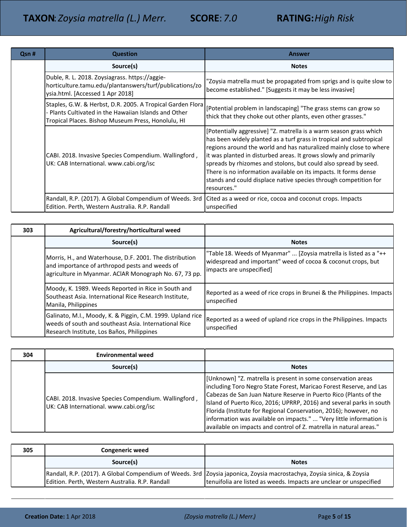| Qsn # | <b>Question</b>                                                                                                                                                           | <b>Answer</b>                                                                                                                                                                                                                                                                                                                                                                                                                                                                                                 |
|-------|---------------------------------------------------------------------------------------------------------------------------------------------------------------------------|---------------------------------------------------------------------------------------------------------------------------------------------------------------------------------------------------------------------------------------------------------------------------------------------------------------------------------------------------------------------------------------------------------------------------------------------------------------------------------------------------------------|
|       | Source(s)                                                                                                                                                                 | <b>Notes</b>                                                                                                                                                                                                                                                                                                                                                                                                                                                                                                  |
|       | Duble, R. L. 2018. Zoysiagrass. https://aggie-<br>horticulture.tamu.edu/plantanswers/turf/publications/zo<br>ysia.html. [Accessed 1 Apr 2018]                             | "Zoysia matrella must be propagated from sprigs and is quite slow to<br>become established." [Suggests it may be less invasive]                                                                                                                                                                                                                                                                                                                                                                               |
|       | Staples, G.W. & Herbst, D.R. 2005. A Tropical Garden Flora<br>- Plants Cultivated in the Hawaiian Islands and Other<br>Tropical Places. Bishop Museum Press, Honolulu, HI | [Potential problem in landscaping] "The grass stems can grow so<br>thick that they choke out other plants, even other grasses."                                                                                                                                                                                                                                                                                                                                                                               |
|       | CABI. 2018. Invasive Species Compendium. Wallingford,<br>UK: CAB International. www.cabi.org/isc                                                                          | [Potentially aggressive] "Z. matrella is a warm season grass which<br>has been widely planted as a turf grass in tropical and subtropical<br>regions around the world and has naturalized mainly close to where<br>it was planted in disturbed areas. It grows slowly and primarily<br>spreads by rhizomes and stolons, but could also spread by seed.<br>There is no information available on its impacts. It forms dense<br>stands and could displace native species through competition for<br>resources." |
|       | Randall, R.P. (2017). A Global Compendium of Weeds. 3rd<br>Edition. Perth, Western Australia. R.P. Randall                                                                | Cited as a weed or rice, cocoa and coconut crops. Impacts<br>unspecified                                                                                                                                                                                                                                                                                                                                                                                                                                      |

| 303 | Agricultural/forestry/horticultural weed                                                                                                                            |                                                                                                                                                               |
|-----|---------------------------------------------------------------------------------------------------------------------------------------------------------------------|---------------------------------------------------------------------------------------------------------------------------------------------------------------|
|     | Source(s)                                                                                                                                                           | <b>Notes</b>                                                                                                                                                  |
|     | Morris, H., and Waterhouse, D.F. 2001. The distribution<br>and importance of arthropod pests and weeds of<br>agriculture in Myanmar. ACIAR Monograph No. 67, 73 pp. | "Table 18. Weeds of Myanmar"  [Zoysia matrella is listed as a "++<br>widespread and important" weed of cocoa & coconut crops, but<br>impacts are unspecified] |
|     | Moody, K. 1989. Weeds Reported in Rice in South and<br>Southeast Asia. International Rice Research Institute,<br>Manila, Philippines                                | Reported as a weed of rice crops in Brunei & the Philippines. Impacts<br>unspecified                                                                          |
|     | Galinato, M.I., Moody, K. & Piggin, C.M. 1999. Upland rice<br>weeds of south and southeast Asia. International Rice<br>Research Institute, Los Baños, Philippines   | Reported as a weed of upland rice crops in the Philippines. Impacts<br>unspecified                                                                            |

| 304 | <b>Environmental weed</b>                                                                        |                                                                                                                                                                                                                                                                                                                                                                                                                                                                                                 |
|-----|--------------------------------------------------------------------------------------------------|-------------------------------------------------------------------------------------------------------------------------------------------------------------------------------------------------------------------------------------------------------------------------------------------------------------------------------------------------------------------------------------------------------------------------------------------------------------------------------------------------|
|     | Source(s)                                                                                        | <b>Notes</b>                                                                                                                                                                                                                                                                                                                                                                                                                                                                                    |
|     | CABI. 2018. Invasive Species Compendium. Wallingford,<br>UK: CAB International. www.cabi.org/isc | [Unknown] "Z. matrella is present in some conservation areas<br>including Toro Negro State Forest, Maricao Forest Reserve, and Las<br>Cabezas de San Juan Nature Reserve in Puerto Rico (Plants of the<br>Island of Puerto Rico, 2016; UPRRP, 2016) and several parks in south<br>Florida (Institute for Regional Conservation, 2016); however, no<br>Information was available on impacts."  "Very little information is<br>available on impacts and control of Z. matrella in natural areas." |

| 305 | Congeneric weed                                 |                                                                                                                                                                                               |
|-----|-------------------------------------------------|-----------------------------------------------------------------------------------------------------------------------------------------------------------------------------------------------|
|     | Source(s)                                       | <b>Notes</b>                                                                                                                                                                                  |
|     | Edition. Perth, Western Australia. R.P. Randall | Randall, R.P. (2017). A Global Compendium of Weeds. 3rd   Zoysia japonica, Zoysia macrostachya, Zoysia sinica, & Zoysia<br>tenuifolia are listed as weeds. Impacts are unclear or unspecified |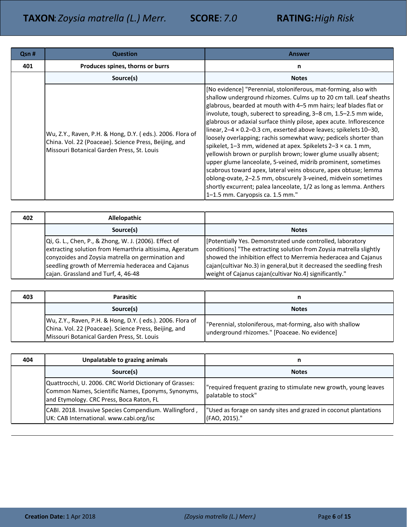| Qsn # | <b>Question</b>                                                                                                                                                  | <b>Answer</b>                                                                                                                                                                                                                                                                                                                                                                                                                                                                                                                                                                                                                                                                                                                                                                                                                                                                                                                                              |
|-------|------------------------------------------------------------------------------------------------------------------------------------------------------------------|------------------------------------------------------------------------------------------------------------------------------------------------------------------------------------------------------------------------------------------------------------------------------------------------------------------------------------------------------------------------------------------------------------------------------------------------------------------------------------------------------------------------------------------------------------------------------------------------------------------------------------------------------------------------------------------------------------------------------------------------------------------------------------------------------------------------------------------------------------------------------------------------------------------------------------------------------------|
| 401   | Produces spines, thorns or burrs                                                                                                                                 | n                                                                                                                                                                                                                                                                                                                                                                                                                                                                                                                                                                                                                                                                                                                                                                                                                                                                                                                                                          |
|       | Source(s)                                                                                                                                                        | <b>Notes</b>                                                                                                                                                                                                                                                                                                                                                                                                                                                                                                                                                                                                                                                                                                                                                                                                                                                                                                                                               |
|       | Wu, Z.Y., Raven, P.H. & Hong, D.Y. (eds.). 2006. Flora of<br>China. Vol. 22 (Poaceae). Science Press, Beijing, and<br>Missouri Botanical Garden Press, St. Louis | [No evidence] "Perennial, stoloniferous, mat-forming, also with<br>shallow underground rhizomes. Culms up to 20 cm tall. Leaf sheaths<br>glabrous, bearded at mouth with 4–5 mm hairs; leaf blades flat or<br>involute, tough, suberect to spreading, 3-8 cm, 1.5-2.5 mm wide,<br>glabrous or adaxial surface thinly pilose, apex acute. Inflorescence<br>linear, $2-4 \times 0.2-0.3$ cm, exserted above leaves; spikelets $10-30$ ,<br>loosely overlapping; rachis somewhat wavy; pedicels shorter than<br>spikelet, 1-3 mm, widened at apex. Spikelets 2-3 x ca. 1 mm,<br>yellowish brown or purplish brown; lower glume usually absent;<br>upper glume lanceolate, 5-veined, midrib prominent, sometimes<br>scabrous toward apex, lateral veins obscure, apex obtuse; lemma<br>oblong-ovate, 2-2.5 mm, obscurely 3-veined, midvein sometimes<br>shortly excurrent; palea lanceolate, 1/2 as long as lemma. Anthers<br>1-1.5 mm. Caryopsis ca. 1.5 mm." |

| 402 | <b>Allelopathic</b>                                                                                                                                                                                                                                               |                                                                                                                                                                                                                                                                                                                                      |
|-----|-------------------------------------------------------------------------------------------------------------------------------------------------------------------------------------------------------------------------------------------------------------------|--------------------------------------------------------------------------------------------------------------------------------------------------------------------------------------------------------------------------------------------------------------------------------------------------------------------------------------|
|     | Source(s)                                                                                                                                                                                                                                                         | <b>Notes</b>                                                                                                                                                                                                                                                                                                                         |
|     | Qi, G. L., Chen, P., & Zhong, W. J. (2006). Effect of<br>extracting solution from Hemarthria altissima, Ageratum<br>conyzoides and Zoysia matrella on germination and<br>seedling growth of Merremia hederacea and Cajanus<br>cajan. Grassland and Turf, 4, 46-48 | [Potentially Yes. Demonstrated unde controlled, laboratory<br>conditions] "The extracting solution from Zoysia matrella slightly<br>showed the inhibition effect to Merremia hederacea and Cajanus<br>cajan(cultivar No.3) in general, but it decreased the seedling fresh<br>weight of Cajanus cajan(cultivar No.4) significantly." |

| 403 | <b>Parasitic</b>                                                                                                                                                 | n                                                                                                          |
|-----|------------------------------------------------------------------------------------------------------------------------------------------------------------------|------------------------------------------------------------------------------------------------------------|
|     | Source(s)                                                                                                                                                        | <b>Notes</b>                                                                                               |
|     | Wu, Z.Y., Raven, P.H. & Hong, D.Y. (eds.). 2006. Flora of<br>China. Vol. 22 (Poaceae). Science Press, Beijing, and<br>Missouri Botanical Garden Press, St. Louis | "Perennial, stoloniferous, mat-forming, also with shallow<br>underground rhizomes." [Poaceae. No evidence] |

| 404 | Unpalatable to grazing animals                                                                                                                           | n                                                                                       |
|-----|----------------------------------------------------------------------------------------------------------------------------------------------------------|-----------------------------------------------------------------------------------------|
|     | Source(s)                                                                                                                                                | <b>Notes</b>                                                                            |
|     | Quattrocchi, U. 2006. CRC World Dictionary of Grasses:<br>Common Names, Scientific Names, Eponyms, Synonyms,<br>and Etymology. CRC Press, Boca Raton, FL | "required frequent grazing to stimulate new growth, young leaves<br>palatable to stock" |
|     | CABI. 2018. Invasive Species Compendium. Wallingford,<br>UK: CAB International. www.cabi.org/isc                                                         | "Used as forage on sandy sites and grazed in coconut plantations<br>(FAO, 2015)."       |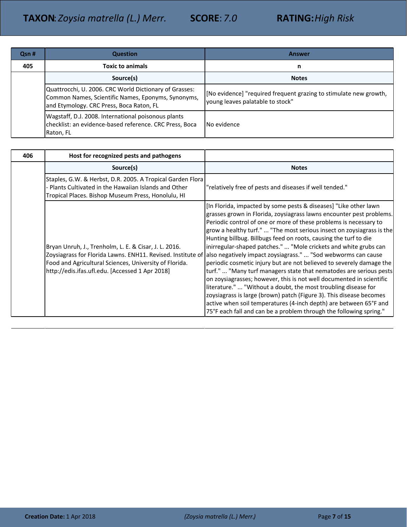| Qsn # | <b>Question</b>                                                                                                                                          | Answer                                                                                                |
|-------|----------------------------------------------------------------------------------------------------------------------------------------------------------|-------------------------------------------------------------------------------------------------------|
| 405   | <b>Toxic to animals</b>                                                                                                                                  | n                                                                                                     |
|       | Source(s)                                                                                                                                                | <b>Notes</b>                                                                                          |
|       | Quattrocchi, U. 2006. CRC World Dictionary of Grasses:<br>Common Names, Scientific Names, Eponyms, Synonyms,<br>and Etymology. CRC Press, Boca Raton, FL | [No evidence] "required frequent grazing to stimulate new growth,<br>young leaves palatable to stock" |
|       | Wagstaff, D.J. 2008. International poisonous plants<br>checklist: an evidence-based reference. CRC Press, Boca<br>Raton, FL                              | No evidence                                                                                           |

| 406 | Host for recognized pests and pathogens                                                                                                                                   |                                                                                                                                                                                                                                                                                                                                                                                                                                                                                                                                                                                                                                                                                                                                                                                                                                                                                                                                                                                                                                                                        |
|-----|---------------------------------------------------------------------------------------------------------------------------------------------------------------------------|------------------------------------------------------------------------------------------------------------------------------------------------------------------------------------------------------------------------------------------------------------------------------------------------------------------------------------------------------------------------------------------------------------------------------------------------------------------------------------------------------------------------------------------------------------------------------------------------------------------------------------------------------------------------------------------------------------------------------------------------------------------------------------------------------------------------------------------------------------------------------------------------------------------------------------------------------------------------------------------------------------------------------------------------------------------------|
|     | Source(s)                                                                                                                                                                 | <b>Notes</b>                                                                                                                                                                                                                                                                                                                                                                                                                                                                                                                                                                                                                                                                                                                                                                                                                                                                                                                                                                                                                                                           |
|     | Staples, G.W. & Herbst, D.R. 2005. A Tropical Garden Flora<br>- Plants Cultivated in the Hawaiian Islands and Other<br>Tropical Places. Bishop Museum Press, Honolulu, HI | "relatively free of pests and diseases if well tended."                                                                                                                                                                                                                                                                                                                                                                                                                                                                                                                                                                                                                                                                                                                                                                                                                                                                                                                                                                                                                |
|     | Bryan Unruh, J., Trenholm, L. E. & Cisar, J. L. 2016.<br>Food and Agricultural Sciences, University of Florida.<br>http://edis.ifas.ufl.edu. [Accessed 1 Apr 2018]        | [In Florida, impacted by some pests & diseases] "Like other lawn<br>grasses grown in Florida, zoysiagrass lawns encounter pest problems.<br>Periodic control of one or more of these problems is necessary to<br>grow a healthy turf."  "The most serious insect on zoysiagrass is the<br>Hunting billbug. Billbugs feed on roots, causing the turf to die<br>inirregular-shaped patches."  "Mole crickets and white grubs can<br>Zoysiagrass for Florida Lawns. ENH11. Revised. Institute of allso negatively impact zoysiagrass."  "Sod webworms can cause<br>periodic cosmetic injury but are not believed to severely damage the<br>turf."  "Many turf managers state that nematodes are serious pests<br>on zoysiagrasses; however, this is not well documented in scientific<br>literature."  "Without a doubt, the most troubling disease for<br>zoysiagrass is large (brown) patch (Figure 3). This disease becomes<br>active when soil temperatures (4-inch depth) are between 65°F and<br>75°F each fall and can be a problem through the following spring." |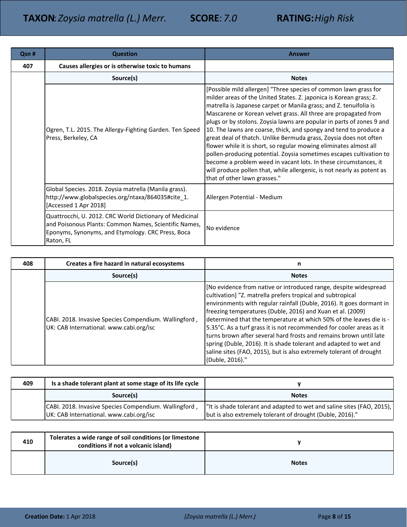| Qsn # | <b>Question</b>                                                                                                                                                                    | <b>Answer</b>                                                                                                                                                                                                                                                                                                                                                                                                                                                                                                                                                                                                                                                                                                                                                                                                               |
|-------|------------------------------------------------------------------------------------------------------------------------------------------------------------------------------------|-----------------------------------------------------------------------------------------------------------------------------------------------------------------------------------------------------------------------------------------------------------------------------------------------------------------------------------------------------------------------------------------------------------------------------------------------------------------------------------------------------------------------------------------------------------------------------------------------------------------------------------------------------------------------------------------------------------------------------------------------------------------------------------------------------------------------------|
| 407   | Causes allergies or is otherwise toxic to humans                                                                                                                                   |                                                                                                                                                                                                                                                                                                                                                                                                                                                                                                                                                                                                                                                                                                                                                                                                                             |
|       | Source(s)                                                                                                                                                                          | <b>Notes</b>                                                                                                                                                                                                                                                                                                                                                                                                                                                                                                                                                                                                                                                                                                                                                                                                                |
|       | Ogren, T.L. 2015. The Allergy-Fighting Garden. Ten Speed<br>Press, Berkeley, CA                                                                                                    | [Possible mild allergen] "Three species of common lawn grass for<br>milder areas of the United States. Z. japonica is Korean grass; Z.<br>matrella is Japanese carpet or Manila grass; and Z. tenuifolia is<br>Mascarene or Korean velvet grass. All three are propagated from<br>plugs or by stolons. Zoysia lawns are popular in parts of zones 9 and<br>10. The lawns are coarse, thick, and spongy and tend to produce a<br>great deal of thatch. Unlike Bermuda grass, Zoysia does not often<br>flower while it is short, so regular mowing eliminates almost all<br>pollen-producing potential. Zoysia sometimes escapes cultivation to<br>become a problem weed in vacant lots. In these circumstances, it<br>will produce pollen that, while allergenic, is not nearly as potent as<br>that of other lawn grasses." |
|       | Global Species. 2018. Zoysia matrella (Manila grass).<br>http://www.globalspecies.org/ntaxa/864035#cite_1.<br>[Accessed 1 Apr 2018]                                                | Allergen Potential - Medium                                                                                                                                                                                                                                                                                                                                                                                                                                                                                                                                                                                                                                                                                                                                                                                                 |
|       | Quattrocchi, U. 2012. CRC World Dictionary of Medicinal<br>and Poisonous Plants: Common Names, Scientific Names,<br>Eponyms, Synonyms, and Etymology. CRC Press, Boca<br>Raton, FL | No evidence                                                                                                                                                                                                                                                                                                                                                                                                                                                                                                                                                                                                                                                                                                                                                                                                                 |

| 408 | Creates a fire hazard in natural ecosystems                                                      | n                                                                                                                                                                                                                                                                                                                                                                                                                                                                                                                                                                                                                                                        |
|-----|--------------------------------------------------------------------------------------------------|----------------------------------------------------------------------------------------------------------------------------------------------------------------------------------------------------------------------------------------------------------------------------------------------------------------------------------------------------------------------------------------------------------------------------------------------------------------------------------------------------------------------------------------------------------------------------------------------------------------------------------------------------------|
|     | Source(s)                                                                                        | <b>Notes</b>                                                                                                                                                                                                                                                                                                                                                                                                                                                                                                                                                                                                                                             |
|     | CABI. 2018. Invasive Species Compendium. Wallingford,<br>UK: CAB International. www.cabi.org/isc | [No evidence from native or introduced range, despite widespread<br>cultivation] "Z. matrella prefers tropical and subtropical<br>environments with regular rainfall (Duble, 2016). It goes dormant in<br>freezing temperatures (Duble, 2016) and Xuan et al. (2009)<br>determined that the temperature at which 50% of the leaves die is -<br>5.35°C. As a turf grass it is not recommended for cooler areas as it<br>turns brown after several hard frosts and remains brown until late<br>spring (Duble, 2016). It is shade tolerant and adapted to wet and<br>saline sites (FAO, 2015), but is also extremely tolerant of drought<br>(Duble, 2016)." |

| 409 | Is a shade tolerant plant at some stage of its life cycle                                        |                                                                                                                                      |
|-----|--------------------------------------------------------------------------------------------------|--------------------------------------------------------------------------------------------------------------------------------------|
|     | Source(s)                                                                                        | <b>Notes</b>                                                                                                                         |
|     | CABI. 2018. Invasive Species Compendium. Wallingford,<br>UK: CAB International. www.cabi.org/isc | I'lt is shade tolerant and adapted to wet and saline sites (FAO, 2015),<br>but is also extremely tolerant of drought (Duble, 2016)." |

| 410 | Tolerates a wide range of soil conditions (or limestone<br>conditions if not a volcanic island) |              |
|-----|-------------------------------------------------------------------------------------------------|--------------|
|     | Source(s)                                                                                       | <b>Notes</b> |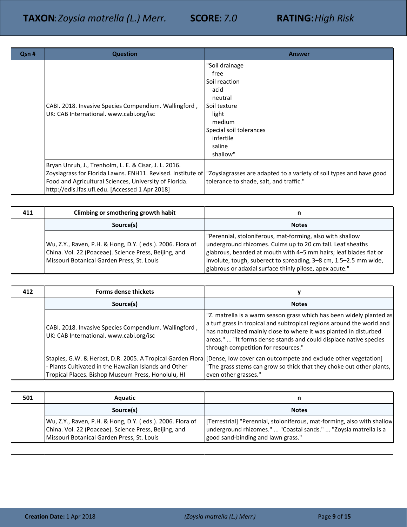| Qsn # | <b>Question</b>                                                                                                                                                    | <b>Answer</b>                                                                                                                                                               |
|-------|--------------------------------------------------------------------------------------------------------------------------------------------------------------------|-----------------------------------------------------------------------------------------------------------------------------------------------------------------------------|
|       | CABI. 2018. Invasive Species Compendium. Wallingford,<br>UK: CAB International. www.cabi.org/isc                                                                   | "Soil drainage<br>free<br>Soil reaction<br>acid<br>neutral<br>Soil texture<br>light<br>medium<br>Special soil tolerances<br>infertile<br>saline<br>shallow"                 |
|       | Bryan Unruh, J., Trenholm, L. E. & Cisar, J. L. 2016.<br>Food and Agricultural Sciences, University of Florida.<br>http://edis.ifas.ufl.edu. [Accessed 1 Apr 2018] | Zoysiagrass for Florida Lawns. ENH11. Revised. Institute of  "Zoysiagrasses are adapted to a variety of soil types and have good<br>tolerance to shade, salt, and traffic." |

| 411 | Climbing or smothering growth habit                                                                                                                              |                                                                                                                                                                                                                                                                                                                             |
|-----|------------------------------------------------------------------------------------------------------------------------------------------------------------------|-----------------------------------------------------------------------------------------------------------------------------------------------------------------------------------------------------------------------------------------------------------------------------------------------------------------------------|
|     | Source(s)                                                                                                                                                        | <b>Notes</b>                                                                                                                                                                                                                                                                                                                |
|     | Wu, Z.Y., Raven, P.H. & Hong, D.Y. (eds.). 2006. Flora of<br>China. Vol. 22 (Poaceae). Science Press, Beijing, and<br>Missouri Botanical Garden Press, St. Louis | "Perennial, stoloniferous, mat-forming, also with shallow<br>underground rhizomes. Culms up to 20 cm tall. Leaf sheaths<br>glabrous, bearded at mouth with 4–5 mm hairs; leaf blades flat or<br>involute, tough, suberect to spreading, 3-8 cm, 1.5-2.5 mm wide,<br>glabrous or adaxial surface thinly pilose, apex acute." |

| 412 | <b>Forms dense thickets</b>                                                                                 |                                                                                                                                                                                                                                                                                                                                |
|-----|-------------------------------------------------------------------------------------------------------------|--------------------------------------------------------------------------------------------------------------------------------------------------------------------------------------------------------------------------------------------------------------------------------------------------------------------------------|
|     | Source(s)                                                                                                   | <b>Notes</b>                                                                                                                                                                                                                                                                                                                   |
|     | CABI. 2018. Invasive Species Compendium. Wallingford,<br>UK: CAB International. www.cabi.org/isc            | "Z. matrella is a warm season grass which has been widely planted as<br>a turf grass in tropical and subtropical regions around the world and<br>has naturalized mainly close to where it was planted in disturbed<br>areas."  "It forms dense stands and could displace native species<br>through competition for resources." |
|     | - Plants Cultivated in the Hawaiian Islands and Other<br>Tropical Places. Bishop Museum Press, Honolulu, HI | Staples, G.W. & Herbst, D.R. 2005. A Tropical Garden Flora [Dense, low cover can outcompete and exclude other vegetation]<br>"The grass stems can grow so thick that they choke out other plants,<br>even other grasses."                                                                                                      |

| 501 | <b>Aquatic</b>                                                                                                                                                   |                                                                                                                                                                                   |
|-----|------------------------------------------------------------------------------------------------------------------------------------------------------------------|-----------------------------------------------------------------------------------------------------------------------------------------------------------------------------------|
|     | Source(s)                                                                                                                                                        | <b>Notes</b>                                                                                                                                                                      |
|     | Wu, Z.Y., Raven, P.H. & Hong, D.Y. (eds.). 2006. Flora of<br>China. Vol. 22 (Poaceae). Science Press, Beijing, and<br>Missouri Botanical Garden Press, St. Louis | [Terrestrial] "Perennial, stoloniferous, mat-forming, also with shallow]<br>underground rhizomes."  "Coastal sands."  "Zoysia matrella is a<br>good sand-binding and lawn grass." |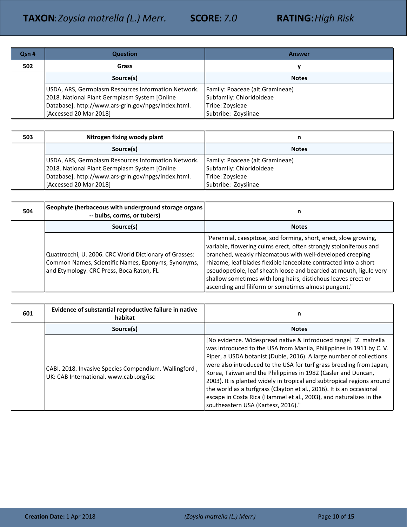| Qsn # | <b>Question</b>                                                                                                                                                                       | <b>Answer</b>                                                                                         |
|-------|---------------------------------------------------------------------------------------------------------------------------------------------------------------------------------------|-------------------------------------------------------------------------------------------------------|
| 502   | Grass                                                                                                                                                                                 |                                                                                                       |
|       | Source(s)                                                                                                                                                                             | <b>Notes</b>                                                                                          |
|       | USDA, ARS, Germplasm Resources Information Network.<br>2018. National Plant Germplasm System [Online<br>Database]. http://www.ars-grin.gov/npgs/index.html.<br>[Accessed 20 Mar 2018] | Family: Poaceae (alt.Gramineae)<br>Subfamily: Chloridoideae<br>Tribe: Zoysieae<br>Subtribe: Zoysiinae |

| 503 | Nitrogen fixing woody plant                                | n                               |
|-----|------------------------------------------------------------|---------------------------------|
|     | Source(s)                                                  | <b>Notes</b>                    |
|     | <b>USDA, ARS, Germplasm Resources Information Network.</b> | Family: Poaceae (alt.Gramineae) |
|     | 2018. National Plant Germplasm System [Online]             | Subfamily: Chloridoideae        |
|     | Database]. http://www.ars-grin.gov/npgs/index.html.        | Tribe: Zoysieae                 |
|     | [Accessed 20 Mar 2018]                                     | Subtribe: Zoysiinae             |

| 504 | Geophyte (herbaceous with underground storage organs<br>-- bulbs, corms, or tubers)                                                                      | n                                                                                                                                                                                                                                                                                                                                                                                                                                                                     |
|-----|----------------------------------------------------------------------------------------------------------------------------------------------------------|-----------------------------------------------------------------------------------------------------------------------------------------------------------------------------------------------------------------------------------------------------------------------------------------------------------------------------------------------------------------------------------------------------------------------------------------------------------------------|
|     | Source(s)                                                                                                                                                | <b>Notes</b>                                                                                                                                                                                                                                                                                                                                                                                                                                                          |
|     | Quattrocchi, U. 2006. CRC World Dictionary of Grasses:<br>Common Names, Scientific Names, Eponyms, Synonyms,<br>and Etymology. CRC Press, Boca Raton, FL | "Perennial, caespitose, sod forming, short, erect, slow growing,<br>variable, flowering culms erect, often strongly stoloniferous and<br>branched, weakly rhizomatous with well-developed creeping<br>rhizome, leaf blades flexible lanceolate contracted into a short<br>pseudopetiole, leaf sheath loose and bearded at mouth, ligule very<br>shallow sometimes with long hairs, distichous leaves erect or<br>ascending and filiform or sometimes almost pungent," |

| 601 | Evidence of substantial reproductive failure in native<br>habitat                                | n                                                                                                                                                                                                                                                                                                                                                                                                                                                                                                                                                                                                                   |
|-----|--------------------------------------------------------------------------------------------------|---------------------------------------------------------------------------------------------------------------------------------------------------------------------------------------------------------------------------------------------------------------------------------------------------------------------------------------------------------------------------------------------------------------------------------------------------------------------------------------------------------------------------------------------------------------------------------------------------------------------|
|     | Source(s)                                                                                        | <b>Notes</b>                                                                                                                                                                                                                                                                                                                                                                                                                                                                                                                                                                                                        |
|     | CABI. 2018. Invasive Species Compendium. Wallingford,<br>UK: CAB International. www.cabi.org/isc | [No evidence. Widespread native & introduced range] "Z. matrella<br>was introduced to the USA from Manila, Philippines in 1911 by C.V.<br>Piper, a USDA botanist (Duble, 2016). A large number of collections<br>were also introduced to the USA for turf grass breeding from Japan,<br>Korea, Taiwan and the Philippines in 1982 (Casler and Duncan,<br>2003). It is planted widely in tropical and subtropical regions around<br>the world as a turfgrass (Clayton et al., 2016). It is an occasional<br>escape in Costa Rica (Hammel et al., 2003), and naturalizes in the<br>southeastern USA (Kartesz, 2016)." |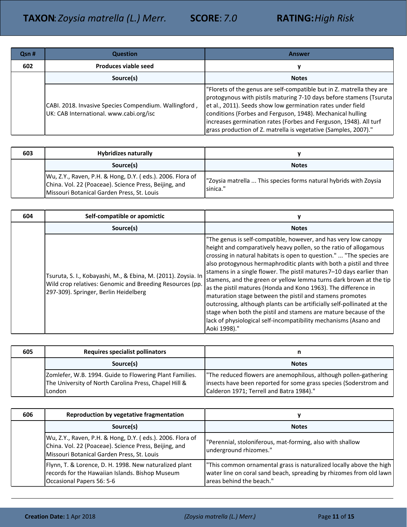| Qsn # | <b>Question</b>                                                                                  | <b>Answer</b>                                                                                                                                                                                                                                                                                                                                                                                                    |
|-------|--------------------------------------------------------------------------------------------------|------------------------------------------------------------------------------------------------------------------------------------------------------------------------------------------------------------------------------------------------------------------------------------------------------------------------------------------------------------------------------------------------------------------|
| 602   | Produces viable seed                                                                             | v                                                                                                                                                                                                                                                                                                                                                                                                                |
|       | Source(s)                                                                                        | <b>Notes</b>                                                                                                                                                                                                                                                                                                                                                                                                     |
|       | CABI. 2018. Invasive Species Compendium. Wallingford,<br>UK: CAB International. www.cabi.org/isc | Florets of the genus are self-compatible but in Z. matrella they are<br>protogynous with pistils maturing 7-10 days before stamens (Tsuruta<br>et al., 2011). Seeds show low germination rates under field<br>conditions (Forbes and Ferguson, 1948). Mechanical hulling<br>increases germination rates (Forbes and Ferguson, 1948). All turf<br>grass production of Z. matrella is vegetative (Samples, 2007)." |

| 603 | <b>Hybridizes naturally</b>                                                                                                                                      |                                                                              |
|-----|------------------------------------------------------------------------------------------------------------------------------------------------------------------|------------------------------------------------------------------------------|
|     | Source(s)                                                                                                                                                        | <b>Notes</b>                                                                 |
|     | Wu, Z.Y., Raven, P.H. & Hong, D.Y. (eds.). 2006. Flora of<br>China. Vol. 22 (Poaceae). Science Press, Beijing, and<br>Missouri Botanical Garden Press, St. Louis | "Zoysia matrella  This species forms natural hybrids with Zoysia<br>sinica." |

| 604 | Self-compatible or apomictic                                                                                                                                       |                                                                                                                                                                                                                                                                                                                                                                                                                                                                                                                                                                                                                                                                                                                                                                                                     |
|-----|--------------------------------------------------------------------------------------------------------------------------------------------------------------------|-----------------------------------------------------------------------------------------------------------------------------------------------------------------------------------------------------------------------------------------------------------------------------------------------------------------------------------------------------------------------------------------------------------------------------------------------------------------------------------------------------------------------------------------------------------------------------------------------------------------------------------------------------------------------------------------------------------------------------------------------------------------------------------------------------|
|     | Source(s)                                                                                                                                                          | <b>Notes</b>                                                                                                                                                                                                                                                                                                                                                                                                                                                                                                                                                                                                                                                                                                                                                                                        |
|     | Tsuruta, S. I., Kobayashi, M., & Ebina, M. (2011). Zoysia. In<br>Wild crop relatives: Genomic and Breeding Resources (pp.<br>297-309). Springer, Berlin Heidelberg | "The genus is self-compatible, however, and has very low canopy<br>height and comparatively heavy pollen, so the ratio of allogamous<br>crossing in natural habitats is open to question."  "The species are<br>also protogynous hermaphroditic plants with both a pistil and three<br>stamens in a single flower. The pistil matures 7–10 days earlier than<br>stamens, and the green or yellow lemma turns dark brown at the tip<br>as the pistil matures (Honda and Kono 1963). The difference in<br>maturation stage between the pistil and stamens promotes<br>outcrossing, although plants can be artificially self-pollinated at the<br>stage when both the pistil and stamens are mature because of the<br>lack of physiological self-incompatibility mechanisms (Asano and<br>Aoki 1998)." |

| 605 | <b>Requires specialist pollinators</b>                                                                                       |                                                                                                                                                                                  |
|-----|------------------------------------------------------------------------------------------------------------------------------|----------------------------------------------------------------------------------------------------------------------------------------------------------------------------------|
|     | Source(s)                                                                                                                    | <b>Notes</b>                                                                                                                                                                     |
|     | Zomlefer, W.B. 1994. Guide to Flowering Plant Families.<br>The University of North Carolina Press, Chapel Hill &<br>l London | The reduced flowers are anemophilous, although pollen-gathering<br>insects have been reported for some grass species (Soderstrom and<br>Calderon 1971; Terrell and Batra 1984)." |

| 606 | Reproduction by vegetative fragmentation                                                                                                                         |                                                                                                                                                                        |
|-----|------------------------------------------------------------------------------------------------------------------------------------------------------------------|------------------------------------------------------------------------------------------------------------------------------------------------------------------------|
|     | Source(s)                                                                                                                                                        | <b>Notes</b>                                                                                                                                                           |
|     | Wu, Z.Y., Raven, P.H. & Hong, D.Y. (eds.). 2006. Flora of<br>China. Vol. 22 (Poaceae). Science Press, Beijing, and<br>Missouri Botanical Garden Press, St. Louis | "Perennial, stoloniferous, mat-forming, also with shallow<br>underground rhizomes."                                                                                    |
|     | Flynn, T. & Lorence, D. H. 1998. New naturalized plant<br>records for the Hawaiian Islands. Bishop Museum<br>Occasional Papers 56: 5-6                           | "This common ornamental grass is naturalized locally above the high<br>water line on coral sand beach, spreading by rhizomes from old lawn<br>areas behind the beach." |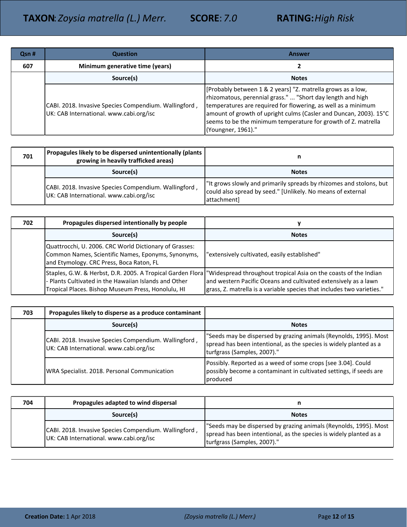| Qsn # | <b>Question</b>                                                                                  | <b>Answer</b>                                                                                                                                                                                                                                                                                                                                          |
|-------|--------------------------------------------------------------------------------------------------|--------------------------------------------------------------------------------------------------------------------------------------------------------------------------------------------------------------------------------------------------------------------------------------------------------------------------------------------------------|
| 607   | Minimum generative time (years)                                                                  |                                                                                                                                                                                                                                                                                                                                                        |
|       | Source(s)                                                                                        | <b>Notes</b>                                                                                                                                                                                                                                                                                                                                           |
|       | CABI. 2018. Invasive Species Compendium. Wallingford,<br>UK: CAB International. www.cabi.org/isc | [Probably between 1 & 2 years] "Z. matrella grows as a low,<br>rhizomatous, perennial grass."  "Short day length and high<br>temperatures are required for flowering, as well as a minimum<br>amount of growth of upright culms (Casler and Duncan, 2003). 15°C<br>seems to be the minimum temperature for growth of Z. matrella<br>(Youngner, 1961)." |

| 701 | Propagules likely to be dispersed unintentionally (plants  <br>growing in heavily trafficked areas) | n                                                                                                                                                  |
|-----|-----------------------------------------------------------------------------------------------------|----------------------------------------------------------------------------------------------------------------------------------------------------|
|     | Source(s)                                                                                           | <b>Notes</b>                                                                                                                                       |
|     | CABI. 2018. Invasive Species Compendium. Wallingford,<br>UK: CAB International. www.cabi.org/isc    | I"It grows slowly and primarily spreads by rhizomes and stolons, but<br>could also spread by seed." [Unlikely. No means of external<br>attachmentl |

| 702 | Propagules dispersed intentionally by people                                                                                                                              | v                                                                                                                                                                                                             |
|-----|---------------------------------------------------------------------------------------------------------------------------------------------------------------------------|---------------------------------------------------------------------------------------------------------------------------------------------------------------------------------------------------------------|
|     | Source(s)                                                                                                                                                                 | <b>Notes</b>                                                                                                                                                                                                  |
|     | Quattrocchi, U. 2006. CRC World Dictionary of Grasses:<br>Common Names, Scientific Names, Eponyms, Synonyms,<br>and Etymology. CRC Press, Boca Raton, FL                  | "extensively cultivated, easily established"                                                                                                                                                                  |
|     | Staples, G.W. & Herbst, D.R. 2005. A Tropical Garden Flora<br>- Plants Cultivated in the Hawaiian Islands and Other<br>Tropical Places. Bishop Museum Press, Honolulu, HI | "Widespread throughout tropical Asia on the coasts of the Indian<br>and western Pacific Oceans and cultivated extensively as a lawn<br>grass, Z. matrella is a variable species that includes two varieties." |

| 703 | Propagules likely to disperse as a produce contaminant                                           |                                                                                                                                                                        |
|-----|--------------------------------------------------------------------------------------------------|------------------------------------------------------------------------------------------------------------------------------------------------------------------------|
|     | Source(s)                                                                                        | <b>Notes</b>                                                                                                                                                           |
|     | CABI. 2018. Invasive Species Compendium. Wallingford,<br>UK: CAB International. www.cabi.org/isc | "Seeds may be dispersed by grazing animals (Reynolds, 1995). Most<br>spread has been intentional, as the species is widely planted as a<br>turfgrass (Samples, 2007)." |
|     | WRA Specialist. 2018. Personal Communication                                                     | Possibly. Reported as a weed of some crops [see 3.04]. Could<br>possibly become a contaminant in cultivated settings, if seeds are<br>produced                         |

| 704 | Propagules adapted to wind dispersal                                                             |                                                                                                                                                                        |
|-----|--------------------------------------------------------------------------------------------------|------------------------------------------------------------------------------------------------------------------------------------------------------------------------|
|     | Source(s)                                                                                        | <b>Notes</b>                                                                                                                                                           |
|     | CABI. 2018. Invasive Species Compendium. Wallingford,<br>UK: CAB International. www.cabi.org/isc | "Seeds may be dispersed by grazing animals (Reynolds, 1995). Most<br>spread has been intentional, as the species is widely planted as a<br>turfgrass (Samples, 2007)." |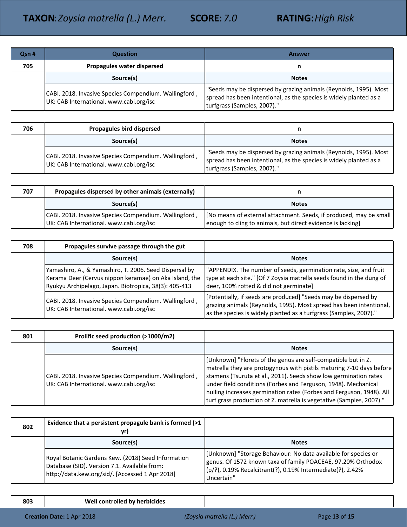| Qsn # | <b>Question</b>                                                                                  | Answer                                                                                                                                                                 |
|-------|--------------------------------------------------------------------------------------------------|------------------------------------------------------------------------------------------------------------------------------------------------------------------------|
| 705   | Propagules water dispersed                                                                       | n                                                                                                                                                                      |
|       | Source(s)                                                                                        | <b>Notes</b>                                                                                                                                                           |
|       | CABI. 2018. Invasive Species Compendium. Wallingford,<br>UK: CAB International. www.cabi.org/isc | "Seeds may be dispersed by grazing animals (Reynolds, 1995). Most<br>spread has been intentional, as the species is widely planted as a<br>turfgrass (Samples, 2007)." |

| 706 | Propagules bird dispersed                                                                        | n                                                                                                                                                                      |
|-----|--------------------------------------------------------------------------------------------------|------------------------------------------------------------------------------------------------------------------------------------------------------------------------|
|     | Source(s)                                                                                        | <b>Notes</b>                                                                                                                                                           |
|     | CABI. 2018. Invasive Species Compendium. Wallingford,<br>UK: CAB International. www.cabi.org/isc | "Seeds may be dispersed by grazing animals (Reynolds, 1995). Most<br>spread has been intentional, as the species is widely planted as a<br>turfgrass (Samples, 2007)." |

| 707 | Propagules dispersed by other animals (externally)                                               |                                                                                                                                   |
|-----|--------------------------------------------------------------------------------------------------|-----------------------------------------------------------------------------------------------------------------------------------|
|     | Source(s)                                                                                        | <b>Notes</b>                                                                                                                      |
|     | CABI. 2018. Invasive Species Compendium. Wallingford,<br>UK: CAB International. www.cabi.org/isc | [No means of external attachment. Seeds, if produced, may be small<br>enough to cling to animals, but direct evidence is lacking] |

| 708 | Propagules survive passage through the gut                                                                                                                                |                                                                                                                                                                                                             |
|-----|---------------------------------------------------------------------------------------------------------------------------------------------------------------------------|-------------------------------------------------------------------------------------------------------------------------------------------------------------------------------------------------------------|
|     | Source(s)                                                                                                                                                                 | <b>Notes</b>                                                                                                                                                                                                |
|     | Yamashiro, A., & Yamashiro, T. 2006. Seed Dispersal by<br>Kerama Deer (Cervus nippon keramae) on Aka Island, the<br>Ryukyu Archipelago, Japan. Biotropica, 38(3): 405-413 | "APPENDIX. The number of seeds, germination rate, size, and fruit<br>type at each site." [Of 7 Zoysia matrella seeds found in the dung of<br>deer, 100% rotted & did not germinate]                         |
|     | CABI. 2018. Invasive Species Compendium. Wallingford,<br>UK: CAB International. www.cabi.org/isc                                                                          | [Potentially, if seeds are produced] "Seeds may be dispersed by<br>grazing animals (Reynolds, 1995). Most spread has been intentional,<br>as the species is widely planted as a turfgrass (Samples, 2007)." |

| 801 | Prolific seed production (>1000/m2)                                                              |                                                                                                                                                                                                                                                                                                                                                                                                                             |
|-----|--------------------------------------------------------------------------------------------------|-----------------------------------------------------------------------------------------------------------------------------------------------------------------------------------------------------------------------------------------------------------------------------------------------------------------------------------------------------------------------------------------------------------------------------|
|     | Source(s)                                                                                        | <b>Notes</b>                                                                                                                                                                                                                                                                                                                                                                                                                |
|     | CABI. 2018. Invasive Species Compendium. Wallingford,<br>UK: CAB International. www.cabi.org/isc | [Unknown] "Florets of the genus are self-compatible but in Z.<br>matrella they are protogynous with pistils maturing 7-10 days before<br>stamens (Tsuruta et al., 2011). Seeds show low germination rates<br>under field conditions (Forbes and Ferguson, 1948). Mechanical<br>hulling increases germination rates (Forbes and Ferguson, 1948). All<br>turf grass production of Z. matrella is vegetative (Samples, 2007)." |

| 802 | Evidence that a persistent propagule bank is formed (>1<br>yr)                                                                                        |                                                                                                                                                                                                            |
|-----|-------------------------------------------------------------------------------------------------------------------------------------------------------|------------------------------------------------------------------------------------------------------------------------------------------------------------------------------------------------------------|
|     | Source(s)                                                                                                                                             | <b>Notes</b>                                                                                                                                                                                               |
|     | Royal Botanic Gardens Kew. (2018) Seed Information<br>Database (SID). Version 7.1. Available from:<br>http://data.kew.org/sid/. [Accessed 1 Apr 2018] | [Unknown] "Storage Behaviour: No data available for species or<br>genus. Of 1572 known taxa of family POACEAE, 97.20% Orthodox<br>(p/?), 0.19% Recalcitrant(?), 0.19% Intermediate(?), 2.42%<br>Uncertain" |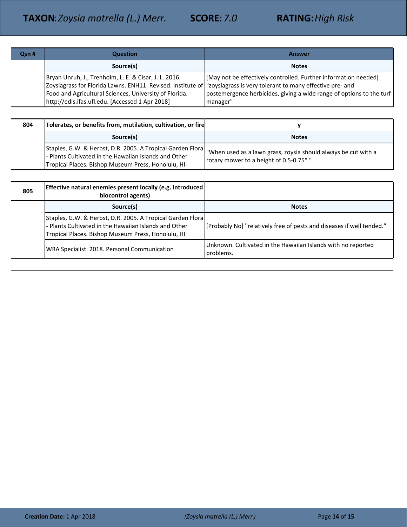| Qsn# | <b>Question</b>                                                                                                                                                                                                                                                                             | Answer                                                                                                                                              |
|------|---------------------------------------------------------------------------------------------------------------------------------------------------------------------------------------------------------------------------------------------------------------------------------------------|-----------------------------------------------------------------------------------------------------------------------------------------------------|
|      | Source(s)                                                                                                                                                                                                                                                                                   | <b>Notes</b>                                                                                                                                        |
|      | Bryan Unruh, J., Trenholm, L. E. & Cisar, J. L. 2016.<br>Zoysiagrass for Florida Lawns. ENH11. Revised. Institute of l"zoysiagrass is very tolerant to many effective pre- and<br>Food and Agricultural Sciences, University of Florida.<br>http://edis.ifas.ufl.edu. [Accessed 1 Apr 2018] | [May not be effectively controlled. Further information needed]<br>postemergence herbicides, giving a wide range of options to the turf<br>manager" |

| 804 | Tolerates, or benefits from, mutilation, cultivation, or fire                                               |                                                                                                                                                                        |
|-----|-------------------------------------------------------------------------------------------------------------|------------------------------------------------------------------------------------------------------------------------------------------------------------------------|
|     | Source(s)                                                                                                   | <b>Notes</b>                                                                                                                                                           |
|     | - Plants Cultivated in the Hawaiian Islands and Other<br>Tropical Places. Bishop Museum Press, Honolulu, HI | Staples, G.W. & Herbst, D.R. 2005. A Tropical Garden Flora   "When used as a lawn grass, zoysia should always be cut with a<br>rotary mower to a height of 0.5-0.75"." |

| 805 | Effective natural enemies present locally (e.g. introduced)<br>biocontrol agents)                                                                                         |                                                                           |
|-----|---------------------------------------------------------------------------------------------------------------------------------------------------------------------------|---------------------------------------------------------------------------|
|     | Source(s)                                                                                                                                                                 | <b>Notes</b>                                                              |
|     | Staples, G.W. & Herbst, D.R. 2005. A Tropical Garden Flora<br>- Plants Cultivated in the Hawaiian Islands and Other<br>Tropical Places. Bishop Museum Press, Honolulu, HI | [Probably No] "relatively free of pests and diseases if well tended."     |
|     | WRA Specialist. 2018. Personal Communication                                                                                                                              | Unknown. Cultivated in the Hawaiian Islands with no reported<br>problems. |